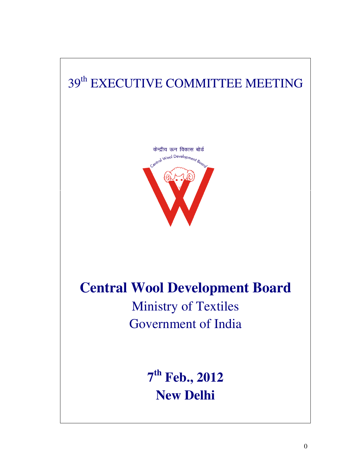# 39<sup>th</sup> EXECUTIVE COMMITTEE MEETING



# **Central Wool Development Board**

Ministry of Textiles Government of India

> **7 th Feb., 2012 New Delhi**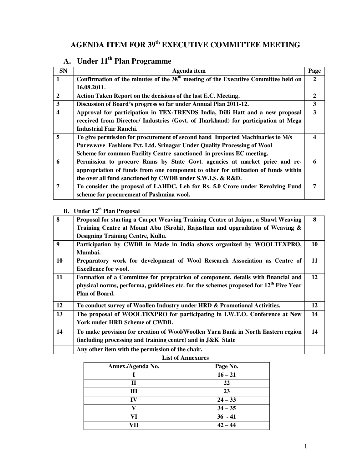# **AGENDA ITEM FOR 39th EXECUTIVE COMMITTEE MEETING**

# **A. Under 11th Plan Programme**

| <b>SN</b>               | Agenda item                                                                          | Page |
|-------------------------|--------------------------------------------------------------------------------------|------|
| 1                       | Confirmation of the minutes of the $38th$ meeting of the Executive Committee held on | 2    |
|                         | 16.08.2011.                                                                          |      |
| $\overline{2}$          | Action Taken Report on the decisions of the last E.C. Meeting.                       | 2    |
| $\mathbf{3}$            | Discussion of Board's progress so far under Annual Plan 2011-12.                     | 3    |
| $\overline{\mathbf{4}}$ | Approval for participation in TEX-TRENDS India, Dilli Hatt and a new proposal        | 3    |
|                         | received from Director/ Industries (Govt. of Jharkhand) for participation at Mega    |      |
|                         | Industrial Fair Ranchi.                                                              |      |
| $\overline{5}$          | To give permission for procurement of second hand Imported Machinaries to M/s        |      |
|                         | Pureweave Fashions Pvt. Ltd. Srinagar Under Quality Processing of Wool               |      |
|                         | Scheme for common Facility Centre sanctioned in previous EC meeting.                 |      |
| 6                       | Permission to procure Rams by State Govt. agencies at market price and re-           | 6    |
|                         | appropriation of funds from one component to other for utilization of funds within   |      |
|                         | the over all fund sanctioned by CWDB under S.W.I.S. & R&D.                           |      |
| 7                       | To consider the proposal of LAHDC, Leh for Rs. 5.0 Crore under Revolving Fund        | 7    |
|                         | scheme for procurement of Pashmina wool.                                             |      |

# **B. Under 12th Plan Proposal**

| $\overline{\mathbf{8}}$ | Proposal for starting a Carpet Weaving Training Centre at Jaipur, a Shawl Weaving<br>Training Centre at Mount Abu (Sirohi), Rajasthan and upgradation of Weaving &<br><b>Designing Training Centre, Kullu.</b>  | 8  |
|-------------------------|-----------------------------------------------------------------------------------------------------------------------------------------------------------------------------------------------------------------|----|
| 9                       | Participation by CWDB in Made in India shows organized by WOOLTEXPRO,<br>Mumbai.                                                                                                                                | 10 |
| 10                      | Preparatory work for development of Wool Research Association as Centre of<br><b>Excellence for wool.</b>                                                                                                       | 11 |
| 11                      | Formation of a Committee for prepratrion of component, details with financial and<br>physical norms, performa, guidelines etc. for the schemes proposed for 12 <sup>th</sup> Five Year<br><b>Plan of Board.</b> | 12 |
| 12                      | To conduct survey of Woollen Industry under HRD & Promotional Activities.                                                                                                                                       | 12 |
| 13                      | The proposal of WOOLTEXPRO for participating in I.W.T.O. Conference at New<br>York under HRD Scheme of CWDB.                                                                                                    | 14 |
| 14                      | To make provision for creation of Wool/Woollen Yarn Bank in North Eastern region<br>(including processing and training centre) and in J&K State                                                                 | 14 |
|                         | Any other item with the permission of the chair.                                                                                                                                                                |    |

#### **List of Annexures**

| Annex./Agenda No. | Page No.  |
|-------------------|-----------|
|                   | $16 - 21$ |
| П                 | 22        |
| Ш                 | 23        |
| IV                | $24 - 33$ |
|                   | $34 - 35$ |
| VI                | $36 - 41$ |
|                   | $42 - 44$ |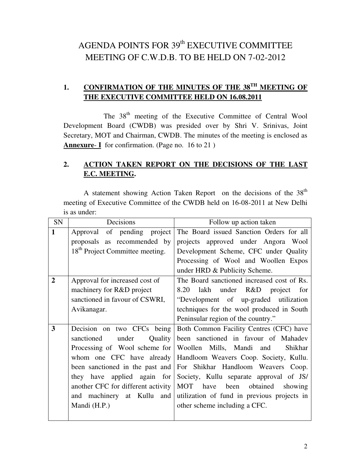# AGENDA POINTS FOR  $39<sup>th</sup>$  EXECUTIVE COMMITTEE MEETING OF C.W.D.B. TO BE HELD ON 7-02-2012

### 1. CONFIRMATION OF THE MINUTES OF THE 38<sup>TH</sup> MEETING OF **THE EXECUTIVE COMMITTEE HELD ON 16.08.2011**

The 38<sup>th</sup> meeting of the Executive Committee of Central Wool Development Board (CWDB) was presided over by Shri V. Srinivas, Joint Secretary, MOT and Chairman, CWDB. The minutes of the meeting is enclosed as **Annexure**- **I** for confirmation. (Page no. 16 to 21 )

### **2. ACTION TAKEN REPORT ON THE DECISIONS OF THE LAST E.C. MEETING.**

A statement showing Action Taken Report on the decisions of the 38<sup>th</sup> meeting of Executive Committee of the CWDB held on 16-08-2011 at New Delhi is as under:

| SN             | Decisions                                   | Follow up action taken                      |
|----------------|---------------------------------------------|---------------------------------------------|
| $\mathbf{1}$   | Approval of pending project                 | The Board issued Sanction Orders for all    |
|                | proposals as recommended by                 | projects approved under Angora Wool         |
|                | 18 <sup>th</sup> Project Committee meeting. | Development Scheme, CFC under Quality       |
|                |                                             | Processing of Wool and Woollen Expos        |
|                |                                             | under HRD & Publicity Scheme.               |
| $\overline{2}$ | Approval for increased cost of              | The Board sanctioned increased cost of Rs.  |
|                | machinery for R&D project                   | lakh under R&D project for<br>8.20          |
|                | sanctioned in favour of CSWRI,              | "Development of up-graded utilization       |
|                | Avikanagar.                                 | techniques for the wool produced in South   |
|                |                                             | Peninsular region of the country."          |
| 3              | Decision on two CFCs being                  | Both Common Facility Centres (CFC) have     |
|                | under<br>Quality<br>sanctioned              | been sanctioned in favour of Mahadev        |
|                | Processing of Wool scheme for               | Woollen Mills, Mandi and<br>Shikhar         |
|                | whom one CFC have already                   | Handloom Weavers Coop. Society, Kullu.      |
|                | been sanctioned in the past and             | For Shikhar Handloom Weavers Coop.          |
|                | they have applied again for                 | Society, Kullu separate approval of JS/     |
|                | another CFC for different activity          | MOT have been obtained<br>showing           |
|                | and machinery at Kullu and                  | utilization of fund in previous projects in |
|                | Mandi (H.P.)                                | other scheme including a CFC.               |
|                |                                             |                                             |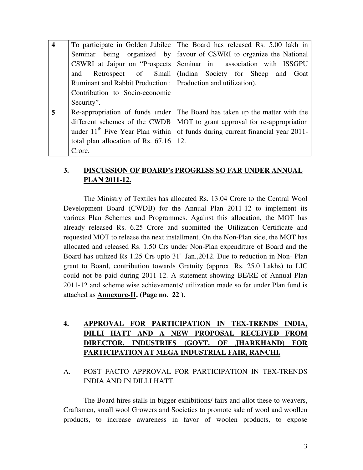| $\overline{\mathbf{4}}$ |                                                                 | To participate in Golden Jubilee The Board has released Rs. 5.00 lakh in          |
|-------------------------|-----------------------------------------------------------------|-----------------------------------------------------------------------------------|
|                         |                                                                 | Seminar being organized by favour of CSWRI to organize the National               |
|                         |                                                                 | CSWRI at Jaipur on "Prospects Seminar in association with ISSGPU                  |
|                         | and                                                             | Retrospect of Small (Indian Society for Sheep and Goat                            |
|                         | Ruminant and Rabbit Production :   Production and utilization). |                                                                                   |
|                         | Contribution to Socio-economic                                  |                                                                                   |
|                         | Security".                                                      |                                                                                   |
| 5                       |                                                                 | Re-appropriation of funds under The Board has taken up the matter with the        |
|                         |                                                                 | different schemes of the CWDB   MOT to grant approval for re-appropriation        |
|                         |                                                                 | under $11th$ Five Year Plan within   of funds during current financial year 2011- |
|                         | total plan allocation of Rs. $67.16$   12.                      |                                                                                   |
|                         | Crore.                                                          |                                                                                   |

### **3. DISCUSSION OF BOARD's PROGRESS SO FAR UNDER ANNUAL PLAN 2011-12.**

 The Ministry of Textiles has allocated Rs. 13.04 Crore to the Central Wool Development Board (CWDB) for the Annual Plan 2011-12 to implement its various Plan Schemes and Programmes. Against this allocation, the MOT has already released Rs. 6.25 Crore and submitted the Utilization Certificate and requested MOT to release the next installment. On the Non-Plan side, the MOT has allocated and released Rs. 1.50 Crs under Non-Plan expenditure of Board and the Board has utilized Rs 1.25 Crs upto  $31<sup>st</sup>$  Jan., 2012. Due to reduction in Non-Plan grant to Board, contribution towards Gratuity (approx. Rs. 25.0 Lakhs) to LIC could not be paid during 2011-12. A statement showing BE/RE of Annual Plan 2011-12 and scheme wise achievements/ utilization made so far under Plan fund is attached as **Annexure-II. (Page no. 22 ).** 

### **4. APPROVAL FOR PARTICIPATION IN TEX-TRENDS INDIA, DILLI HATT AND A NEW PROPOSAL RECEIVED FROM DIRECTOR, INDUSTRIES (GOVT. OF JHARKHAND) FOR PARTICIPATION AT MEGA INDUSTRIAL FAIR, RANCHI.**

A. POST FACTO APPROVAL FOR PARTICIPATION IN TEX-TRENDS INDIA AND IN DILLI HATT.

The Board hires stalls in bigger exhibitions/ fairs and allot these to weavers, Craftsmen, small wool Growers and Societies to promote sale of wool and woollen products, to increase awareness in favor of woolen products, to expose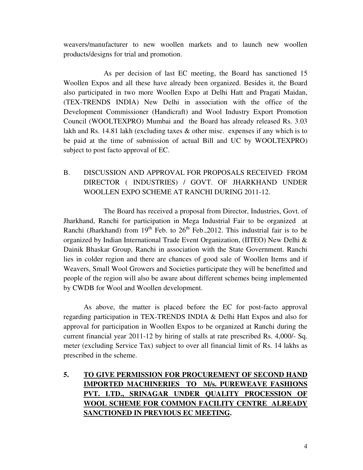weavers/manufacturer to new woollen markets and to launch new woollen products/designs for trial and promotion.

 As per decision of last EC meeting, the Board has sanctioned 15 Woollen Expos and all these have already been organized. Besides it, the Board also participated in two more Woollen Expo at Delhi Hatt and Pragati Maidan, (TEX-TRENDS INDIA) New Delhi in association with the office of the Development Commissioner (Handicraft) and Wool Industry Export Promotion Council (WOOLTEXPRO) Mumbai and the Board has already released Rs. 3.03 lakh and Rs. 14.81 lakh (excluding taxes & other misc. expenses if any which is to be paid at the time of submission of actual Bill and UC by WOOLTEXPRO) subject to post facto approval of EC.

### B. DISCUSSION AND APPROVAL FOR PROPOSALS RECEIVED FROM DIRECTOR ( INDUSTRIES) / GOVT. OF JHARKHAND UNDER WOOLLEN EXPO SCHEME AT RANCHI DURING 2011-12.

 The Board has received a proposal from Director, Industries, Govt. of Jharkhand, Ranchi for participation in Mega Industrial Fair to be organized at Ranchi (Jharkhand) from  $19<sup>th</sup>$  Feb. to  $26<sup>th</sup>$  Feb., 2012. This industrial fair is to be organized by Indian International Trade Event Organization, (IITEO) New Delhi & Dainik Bhaskar Group, Ranchi in association with the State Government. Ranchi lies in colder region and there are chances of good sale of Woollen Items and if Weavers, Small Wool Growers and Societies participate they will be benefitted and people of the region will also be aware about different schemes being implemented by CWDB for Wool and Woollen development.

 As above, the matter is placed before the EC for post-facto approval regarding participation in TEX-TRENDS INDIA & Delhi Hatt Expos and also for approval for participation in Woollen Expos to be organized at Ranchi during the current financial year 2011-12 by hiring of stalls at rate prescribed Rs. 4,000/- Sq. meter (excluding Service Tax) subject to over all financial limit of Rs. 14 lakhs as prescribed in the scheme.

### **5. TO GIVE PERMISSION FOR PROCUREMENT OF SECOND HAND IMPORTED MACHINERIES TO M/s. PUREWEAVE FASHIONS PVT. LTD., SRINAGAR UNDER QUALITY PROCESSION OF WOOL SCHEME FOR COMMON FACILITY CENTRE ALREADY SANCTIONED IN PREVIOUS EC MEETING.**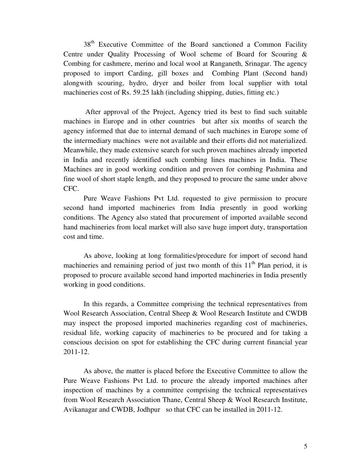38<sup>th</sup> Executive Committee of the Board sanctioned a Common Facility Centre under Quality Processing of Wool scheme of Board for Scouring & Combing for cashmere, merino and local wool at Ranganeth, Srinagar. The agency proposed to import Carding, gill boxes and Combing Plant (Second hand) alongwith scouring, hydro, dryer and boiler from local supplier with total machineries cost of Rs. 59.25 lakh (including shipping, duties, fitting etc.)

 After approval of the Project, Agency tried its best to find such suitable machines in Europe and in other countries but after six months of search the agency informed that due to internal demand of such machines in Europe some of the intermediary machines were not available and their efforts did not materialized. Meanwhile, they made extensive search for such proven machines already imported in India and recently identified such combing lines machines in India. These Machines are in good working condition and proven for combing Pashmina and fine wool of short staple length, and they proposed to procure the same under above CFC.

Pure Weave Fashions Pvt Ltd. requested to give permission to procure second hand imported machineries from India presently in good working conditions. The Agency also stated that procurement of imported available second hand machineries from local market will also save huge import duty, transportation cost and time.

As above, looking at long formalities/procedure for import of second hand machineries and remaining period of just two month of this  $11<sup>th</sup>$  Plan period, it is proposed to procure available second hand imported machineries in India presently working in good conditions.

In this regards, a Committee comprising the technical representatives from Wool Research Association, Central Sheep & Wool Research Institute and CWDB may inspect the proposed imported machineries regarding cost of machineries, residual life, working capacity of machineries to be procured and for taking a conscious decision on spot for establishing the CFC during current financial year 2011-12.

As above, the matter is placed before the Executive Committee to allow the Pure Weave Fashions Pvt Ltd. to procure the already imported machines after inspection of machines by a committee comprising the technical representatives from Wool Research Association Thane, Central Sheep & Wool Research Institute, Avikanagar and CWDB, Jodhpur so that CFC can be installed in 2011-12.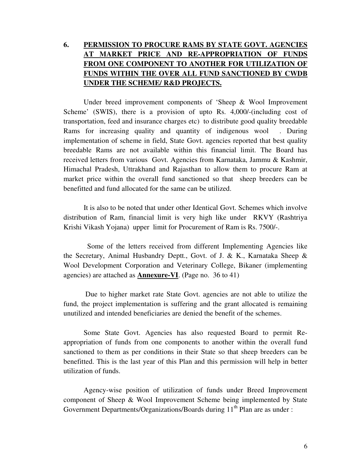### **6. PERMISSION TO PROCURE RAMS BY STATE GOVT. AGENCIES AT MARKET PRICE AND RE-APPROPRIATION OF FUNDS FROM ONE COMPONENT TO ANOTHER FOR UTILIZATION OF FUNDS WITHIN THE OVER ALL FUND SANCTIONED BY CWDB UNDER THE SCHEME/ R&D PROJECTS.**

 Under breed improvement components of 'Sheep & Wool Improvement Scheme' (SWIS), there is a provision of upto Rs. 4,000/-(including cost of transportation, feed and insurance charges etc) to distribute good quality breedable Rams for increasing quality and quantity of indigenous wool . During implementation of scheme in field, State Govt. agencies reported that best quality breedable Rams are not available within this financial limit. The Board has received letters from various Govt. Agencies from Karnataka, Jammu & Kashmir, Himachal Pradesh, Uttrakhand and Rajasthan to allow them to procure Ram at market price within the overall fund sanctioned so that sheep breeders can be benefitted and fund allocated for the same can be utilized.

It is also to be noted that under other Identical Govt. Schemes which involve distribution of Ram, financial limit is very high like under RKVY (Rashtriya Krishi Vikash Yojana) upper limit for Procurement of Ram is Rs. 7500/-.

 Some of the letters received from different Implementing Agencies like the Secretary, Animal Husbandry Deptt., Govt. of J. & K., Karnataka Sheep & Wool Development Corporation and Veterinary College, Bikaner (implementing agencies) are attached as **Annexure-VI**. (Page no. 36 to 41)

 Due to higher market rate State Govt. agencies are not able to utilize the fund, the project implementation is suffering and the grant allocated is remaining unutilized and intended beneficiaries are denied the benefit of the schemes.

 Some State Govt. Agencies has also requested Board to permit Reappropriation of funds from one components to another within the overall fund sanctioned to them as per conditions in their State so that sheep breeders can be benefitted. This is the last year of this Plan and this permission will help in better utilization of funds.

 Agency-wise position of utilization of funds under Breed Improvement component of Sheep & Wool Improvement Scheme being implemented by State Government Departments/Organizations/Boards during 11<sup>th</sup> Plan are as under :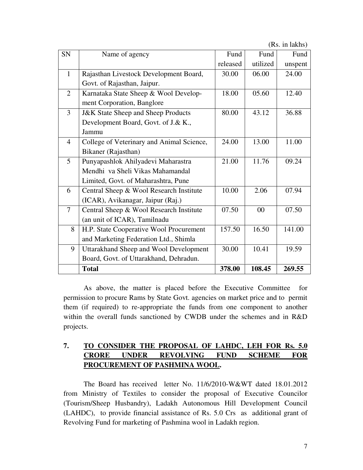(Rs. in lakhs)

| SN             | Name of agency                                | Fund     | Fund     | Fund    |
|----------------|-----------------------------------------------|----------|----------|---------|
|                |                                               | released | utilized | unspent |
| $\mathbf{1}$   | Rajasthan Livestock Development Board,        | 30.00    | 06.00    | 24.00   |
|                | Govt. of Rajasthan, Jaipur.                   |          |          |         |
| $\overline{2}$ | Karnataka State Sheep & Wool Develop-         | 18.00    | 05.60    | 12.40   |
|                | ment Corporation, Banglore                    |          |          |         |
| 3              | <b>J&amp;K State Sheep and Sheep Products</b> | 80.00    | 43.12    | 36.88   |
|                | Development Board, Govt. of J.& K.,           |          |          |         |
|                | Jammu                                         |          |          |         |
| $\overline{4}$ | College of Veterinary and Animal Science,     | 24.00    | 13.00    | 11.00   |
|                | Bikaner (Rajasthan)                           |          |          |         |
| 5              | Punyapashlok Ahilyadevi Maharastra            | 21.00    | 11.76    | 09.24   |
|                | Mendhi va Sheli Vikas Mahamandal              |          |          |         |
|                | Limited, Govt. of Maharashtra, Pune           |          |          |         |
| 6              | Central Sheep & Wool Research Institute       | 10.00    | 2.06     | 07.94   |
|                | (ICAR), Avikanagar, Jaipur (Raj.)             |          |          |         |
| $\tau$         | Central Sheep & Wool Research Institute       | 07.50    | 00       | 07.50   |
|                | (an unit of ICAR), Tamilnadu                  |          |          |         |
| 8              | H.P. State Cooperative Wool Procurement       | 157.50   | 16.50    | 141.00  |
|                | and Marketing Federation Ltd., Shimla         |          |          |         |
| 9              | Uttarakhand Sheep and Wool Development        | 30.00    | 10.41    | 19.59   |
|                | Board, Govt. of Uttarakhand, Dehradun.        |          |          |         |
|                | <b>Total</b>                                  | 378.00   | 108.45   | 269.55  |

 As above, the matter is placed before the Executive Committee for permission to procure Rams by State Govt. agencies on market price and to permit them (if required) to re-appropriate the funds from one component to another within the overall funds sanctioned by CWDB under the schemes and in R&D projects.

### **7. TO CONSIDER THE PROPOSAL OF LAHDC, LEH FOR Rs. 5.0 CRORE UNDER REVOLVING FUND SCHEME FOR PROCUREMENT OF PASHMINA WOOL.**

 The Board has received letter No. 11/6/2010-W&WT dated 18.01.2012 from Ministry of Textiles to consider the proposal of Executive Councilor (Tourism/Sheep Husbandry), Ladakh Autonomous Hill Development Council (LAHDC), to provide financial assistance of Rs. 5.0 Crs as additional grant of Revolving Fund for marketing of Pashmina wool in Ladakh region.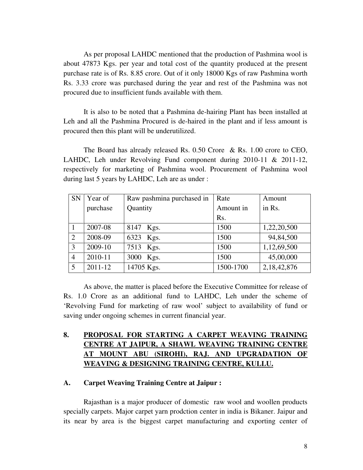As per proposal LAHDC mentioned that the production of Pashmina wool is about 47873 Kgs. per year and total cost of the quantity produced at the present purchase rate is of Rs. 8.85 crore. Out of it only 18000 Kgs of raw Pashmina worth Rs. 3.33 crore was purchased during the year and rest of the Pashmina was not procured due to insufficient funds available with them.

 It is also to be noted that a Pashmina de-hairing Plant has been installed at Leh and all the Pashmina Procured is de-haired in the plant and if less amount is procured then this plant will be underutilized.

 The Board has already released Rs. 0.50 Crore & Rs. 1.00 crore to CEO, LAHDC, Leh under Revolving Fund component during 2010-11 & 2011-12, respectively for marketing of Pashmina wool. Procurement of Pashmina wool during last 5 years by LAHDC, Leh are as under :

| <b>SN</b>      | Year of     | Raw pashmina purchased in | Rate      | Amount      |
|----------------|-------------|---------------------------|-----------|-------------|
|                | purchase    | Quantity                  | Amount in | in Rs.      |
|                |             |                           | Rs.       |             |
|                | 2007-08     | 8147 Kgs.                 | 1500      | 1,22,20,500 |
| 2              | 2008-09     | 6323 Kgs.                 | 1500      | 94,84,500   |
| 3              | 2009-10     | 7513 Kgs.                 | 1500      | 1,12,69,500 |
| $\overline{4}$ | 2010-11     | 3000 Kgs.                 | 1500      | 45,00,000   |
|                | $2011 - 12$ | 14705 Kgs.                | 1500-1700 | 2,18,42,876 |

 As above, the matter is placed before the Executive Committee for release of Rs. 1.0 Crore as an additional fund to LAHDC, Leh under the scheme of 'Revolving Fund for marketing of raw wool' subject to availability of fund or saving under ongoing schemes in current financial year.

### **8. PROPOSAL FOR STARTING A CARPET WEAVING TRAINING CENTRE AT JAIPUR, A SHAWL WEAVING TRAINING CENTRE AT MOUNT ABU (SIROHI), RAJ. AND UPGRADATION OF WEAVING & DESIGNING TRAINING CENTRE, KULLU.**

#### **A. Carpet Weaving Training Centre at Jaipur :**

Rajasthan is a major producer of domestic raw wool and woollen products specially carpets. Major carpet yarn prodction center in india is Bikaner. Jaipur and its near by area is the biggest carpet manufacturing and exporting center of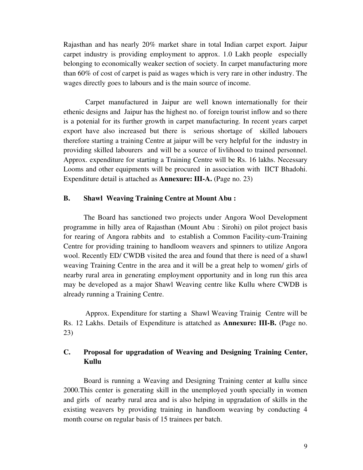Rajasthan and has nearly 20% market share in total Indian carpet export. Jaipur carpet industry is providing employment to approx. 1.0 Lakh people especially belonging to economically weaker section of society. In carpet manufacturing more than 60% of cost of carpet is paid as wages which is very rare in other industry. The wages directly goes to labours and is the main source of income.

 Carpet manufactured in Jaipur are well known internationally for their ethenic designs and Jaipur has the highest no. of foreign tourist inflow and so there is a potenial for its further growth in carpet manufacturing. In recent years carpet export have also increased but there is serious shortage of skilled labouers therefore starting a training Centre at jaipur will be very helpful for the industry in providing skilled labourers and will be a source of livlihood to trained personnel. Approx. expenditure for starting a Training Centre will be Rs. 16 lakhs. Necessary Looms and other equipments will be procured in association with IICT Bhadohi. Expenditure detail is attached as **Annexure: III-A.** (Page no. 23)

#### **B. Shawl Weaving Training Centre at Mount Abu :**

The Board has sanctioned two projects under Angora Wool Development programme in hilly area of Rajasthan (Mount Abu : Sirohi) on pilot project basis for rearing of Angora rabbits and to establish a Common Facility-cum-Training Centre for providing training to handloom weavers and spinners to utilize Angora wool. Recently ED/ CWDB visited the area and found that there is need of a shawl weaving Training Centre in the area and it will be a great help to women/ girls of nearby rural area in generating employment opportunity and in long run this area may be developed as a major Shawl Weaving centre like Kullu where CWDB is already running a Training Centre.

 Approx. Expenditure for starting a Shawl Weaving Trainig Centre will be Rs. 12 Lakhs. Details of Expenditure is attatched as **Annexure: III-B.** (Page no. 23)

### **C. Proposal for upgradation of Weaving and Designing Training Center, Kullu**

Board is running a Weaving and Designing Training center at kullu since 2000.This center is generating skill in the unemployed youth specially in women and girls of nearby rural area and is also helping in upgradation of skills in the existing weavers by providing training in handloom weaving by conducting 4 month course on regular basis of 15 trainees per batch.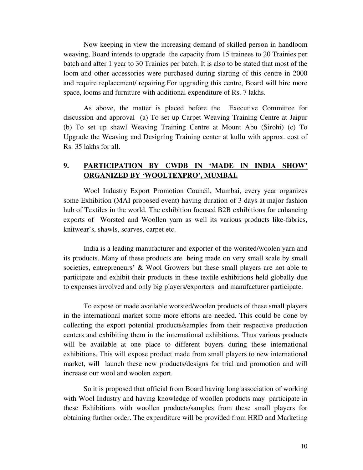Now keeping in view the increasing demand of skilled person in handloom weaving, Board intends to upgrade the capacity from 15 trainees to 20 Trainies per batch and after 1 year to 30 Trainies per batch. It is also to be stated that most of the loom and other accessories were purchased during starting of this centre in 2000 and require replacement/ repairing.For upgrading this centre, Board will hire more space, looms and furniture with additional expenditure of Rs. 7 lakhs.

As above, the matter is placed before the Executive Committee for discussion and approval (a) To set up Carpet Weaving Training Centre at Jaipur (b) To set up shawl Weaving Training Centre at Mount Abu (Sirohi) (c) To Upgrade the Weaving and Designing Training center at kullu with approx. cost of Rs. 35 lakhs for all.

### **9. PARTICIPATION BY CWDB IN 'MADE IN INDIA SHOW' ORGANIZED BY 'WOOLTEXPRO', MUMBAI.**

Wool Industry Export Promotion Council, Mumbai, every year organizes some Exhibition (MAI proposed event) having duration of 3 days at major fashion hub of Textiles in the world. The exhibition focused B2B exhibitions for enhancing exports of Worsted and Woollen yarn as well its various products like-fabrics, knitwear's, shawls, scarves, carpet etc.

India is a leading manufacturer and exporter of the worsted/woolen yarn and its products. Many of these products are being made on very small scale by small societies, entrepreneurs' & Wool Growers but these small players are not able to participate and exhibit their products in these textile exhibitions held globally due to expenses involved and only big players/exporters and manufacturer participate.

To expose or made available worsted/woolen products of these small players in the international market some more efforts are needed. This could be done by collecting the export potential products/samples from their respective production centers and exhibiting them in the international exhibitions. Thus various products will be available at one place to different buyers during these international exhibitions. This will expose product made from small players to new international market, will launch these new products/designs for trial and promotion and will increase our wool and woolen export.

So it is proposed that official from Board having long association of working with Wool Industry and having knowledge of woollen products may participate in these Exhibitions with woollen products/samples from these small players for obtaining further order. The expenditure will be provided from HRD and Marketing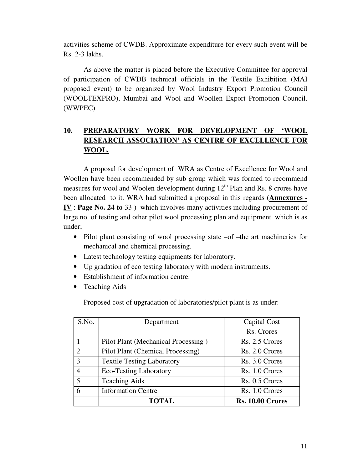activities scheme of CWDB. Approximate expenditure for every such event will be Rs. 2-3 lakhs.

As above the matter is placed before the Executive Committee for approval of participation of CWDB technical officials in the Textile Exhibition (MAI proposed event) to be organized by Wool Industry Export Promotion Council (WOOLTEXPRO), Mumbai and Wool and Woollen Export Promotion Council. (WWPEC)

### **10. PREPARATORY WORK FOR DEVELOPMENT OF 'WOOL RESEARCH ASSOCIATION' AS CENTRE OF EXCELLENCE FOR WOOL.**

 A proposal for development of WRA as Centre of Excellence for Wool and Woollen have been recommended by sub group which was formed to recommend measures for wool and Woolen development during  $12<sup>th</sup>$  Plan and Rs. 8 crores have been allocated to it. WRA had submitted a proposal in this regards (**Annexures - IV** : **Page No. 24 to** 33 ) which involves many activities including procurement of large no. of testing and other pilot wool processing plan and equipment which is as under;

- Pilot plant consisting of wool processing state –of –the art machineries for mechanical and chemical processing.
- Latest technology testing equipments for laboratory.
- Up gradation of eco testing laboratory with modern instruments.
- Establishment of information centre.
- Teaching Aids

Proposed cost of upgradation of laboratories/pilot plant is as under:

| S.No.                       | Department                          | Capital Cost            |
|-----------------------------|-------------------------------------|-------------------------|
|                             |                                     | Rs. Crores              |
|                             | Pilot Plant (Mechanical Processing) | Rs. 2.5 Crores          |
| $\mathcal{D}_{\mathcal{L}}$ | Pilot Plant (Chemical Processing)   | Rs. 2.0 Crores          |
| 3                           | <b>Textile Testing Laboratory</b>   | Rs. 3.0 Crores          |
| 4                           | <b>Eco-Testing Laboratory</b>       | Rs. 1.0 Crores          |
| 5                           | <b>Teaching Aids</b>                | Rs. 0.5 Crores          |
| 6                           | <b>Information Centre</b>           | Rs. 1.0 Crores          |
|                             | <b>TOTAL</b>                        | <b>Rs. 10.00 Crores</b> |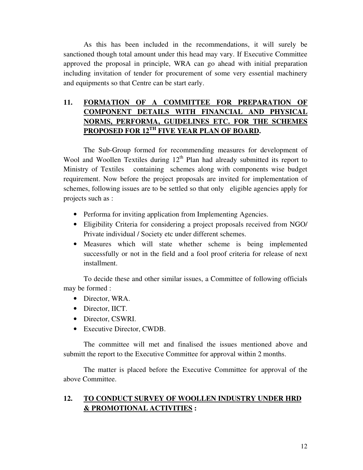As this has been included in the recommendations, it will surely be sanctioned though total amount under this head may vary. If Executive Committee approved the proposal in principle, WRA can go ahead with initial preparation including invitation of tender for procurement of some very essential machinery and equipments so that Centre can be start early.

### **11. FORMATION OF A COMMITTEE FOR PREPARATION OF COMPONENT DETAILS WITH FINANCIAL AND PHYSICAL NORMS, PERFORMA, GUIDELINES ETC. FOR THE SCHEMES PROPOSED FOR 12TH FIVE YEAR PLAN OF BOARD.**

 The Sub-Group formed for recommending measures for development of Wool and Woollen Textiles during  $12<sup>th</sup>$  Plan had already submitted its report to Ministry of Textiles containing schemes along with components wise budget requirement. Now before the project proposals are invited for implementation of schemes, following issues are to be settled so that only eligible agencies apply for projects such as :

- Performa for inviting application from Implementing Agencies.
- Eligibility Criteria for considering a project proposals received from NGO/ Private individual / Society etc under different schemes.
- Measures which will state whether scheme is being implemented successfully or not in the field and a fool proof criteria for release of next installment.

To decide these and other similar issues, a Committee of following officials may be formed :

- Director, WRA.
- Director, IICT.
- Director, CSWRI.
- Executive Director, CWDB.

The committee will met and finalised the issues mentioned above and submitt the report to the Executive Committee for approval within 2 months.

 The matter is placed before the Executive Committee for approval of the above Committee.

### **12. TO CONDUCT SURVEY OF WOOLLEN INDUSTRY UNDER HRD & PROMOTIONAL ACTIVITIES :**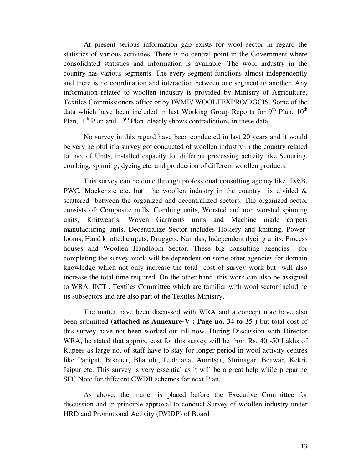At present serious information gap exists for wool sector in regard the statistics of various activities. There is no central point in the Government where consolidated statistics and information is available. The wool industry in the country has various segments. The every segment functions almost independently and there is no coordination and interaction between one segment to another. Any information related to woollen industry is provided by Ministry of Agriculture, Textiles Commissioners office or by IWMF/ WOOLTEXPRO/DGCIS. Some of the data which have been included in last Working Group Reports for  $9<sup>th</sup>$  Plan,  $10<sup>th</sup>$ Plan,11<sup>th</sup> Plan and 12<sup>th</sup> Plan clearly shows contradictions in these data.

No survey in this regard have been conducted in last 20 years and it would be very helpful if a survey got conducted of woollen industry in the country related to no. of Units, installed capacity for different processing activity like Scouring, combing, spinning, dyeing etc. and production of different woollen products.

This survey can be done through professional consulting agency like D&B, PWC, Mackenzie etc. but the woollen industry in the country is divided  $\&$ scattered between the organized and decentralized sectors. The organized sector consists of: Composite mills, Combing units, Worsted and non worsted spinning units, Knitwear's, Woven Garments units and Machine made carpets manufacturing units. Decentralize Sector includes Hosiery and knitting, Powerlooms, Hand knotted carpets, Druggets, Namdas, Independent dyeing units, Process houses and Woollen Handloom Sector. These big consulting agencies for completing the survey work will be dependent on some other agencies for domain knowledge which not only increase the total cost of survey work but will also increase the total time required. On the other hand, this work can also be assigned to WRA, IICT , Textiles Committee which are familiar with wool sector including its subsectors and are also part of the Textiles Ministry.

The matter have been discussed with WRA and a concept note have also been submitted **(attached as Annexure-V : Page no. 34 to 35 )** but total cost of this survey have not been worked out till now. During Discussion with Director WRA, he stated that approx. cost for this survey will be from Rs. 40 -50 Lakhs of Rupees as large no. of staff have to stay for longer period in wool activity centres like Panipat, Bikaner, Bhadohi, Ludhiana, Amritsar, Shrinagar, Beawar, Kekri, Jaipur etc. This survey is very essential as it will be a great help while preparing SFC Note for different CWDB schemes for next Plan.

 As above, the matter is placed before the Executive Committee for discussion and in principle approval to conduct Survey of woollen industry under HRD and Promotional Activity (IWIDP) of Board .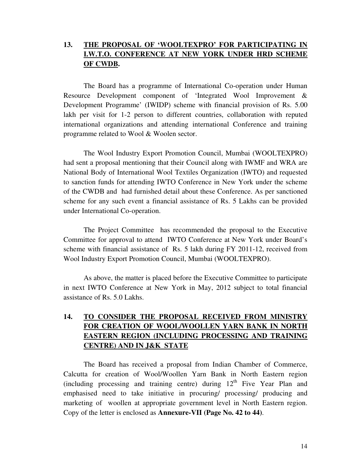### **13. THE PROPOSAL OF 'WOOLTEXPRO' FOR PARTICIPATING IN I.W.T.O. CONFERENCE AT NEW YORK UNDER HRD SCHEME OF CWDB.**

The Board has a programme of International Co-operation under Human Resource Development component of 'Integrated Wool Improvement & Development Programme' (IWIDP) scheme with financial provision of Rs. 5.00 lakh per visit for 1-2 person to different countries, collaboration with reputed international organizations and attending international Conference and training programme related to Wool & Woolen sector.

The Wool Industry Export Promotion Council, Mumbai (WOOLTEXPRO) had sent a proposal mentioning that their Council along with IWMF and WRA are National Body of International Wool Textiles Organization (IWTO) and requested to sanction funds for attending IWTO Conference in New York under the scheme of the CWDB and had furnished detail about these Conference. As per sanctioned scheme for any such event a financial assistance of Rs. 5 Lakhs can be provided under International Co-operation.

The Project Committee has recommended the proposal to the Executive Committee for approval to attend IWTO Conference at New York under Board's scheme with financial assistance of Rs. 5 lakh during FY 2011-12, received from Wool Industry Export Promotion Council, Mumbai (WOOLTEXPRO).

As above, the matter is placed before the Executive Committee to participate in next IWTO Conference at New York in May, 2012 subject to total financial assistance of Rs. 5.0 Lakhs.

### **14. TO CONSIDER THE PROPOSAL RECEIVED FROM MINISTRY FOR CREATION OF WOOL/WOOLLEN YARN BANK IN NORTH EASTERN REGION (INCLUDING PROCESSING AND TRAINING CENTRE) AND IN J&K STATE**

 The Board has received a proposal from Indian Chamber of Commerce, Calcutta for creation of Wool/Woollen Yarn Bank in North Eastern region (including processing and training centre) during  $12<sup>th</sup>$  Five Year Plan and emphasised need to take initiative in procuring/ processing/ producing and marketing of woollen at appropriate government level in North Eastern region. Copy of the letter is enclosed as **Annexure-VII (Page No. 42 to 44)**.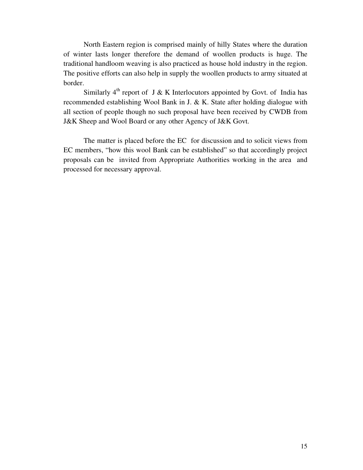North Eastern region is comprised mainly of hilly States where the duration of winter lasts longer therefore the demand of woollen products is huge. The traditional handloom weaving is also practiced as house hold industry in the region. The positive efforts can also help in supply the woollen products to army situated at border.

Similarly  $4<sup>th</sup>$  report of J & K Interlocutors appointed by Govt. of India has recommended establishing Wool Bank in J. & K. State after holding dialogue with all section of people though no such proposal have been received by CWDB from J&K Sheep and Wool Board or any other Agency of J&K Govt.

 The matter is placed before the EC for discussion and to solicit views from EC members, "how this wool Bank can be established" so that accordingly project proposals can be invited from Appropriate Authorities working in the area and processed for necessary approval.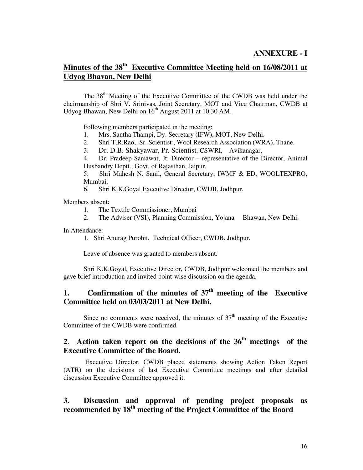### **ANNEXURE - I**

### **Minutes of the 38th Executive Committee Meeting held on 16/08/2011 at Udyog Bhavan, New Delhi**

The 38<sup>th</sup> Meeting of the Executive Committee of the CWDB was held under the chairmanship of Shri V. Srinivas, Joint Secretary, MOT and Vice Chairman, CWDB at Udyog Bhawan, New Delhi on  $16<sup>th</sup>$  August 2011 at 10.30 AM.

Following members participated in the meeting:

- 1. Mrs. Santha Thampi, Dy. Secretary (IFW), MOT, New Delhi.
- 2. Shri T.R.Rao, Sr. Scientist , Wool Research Association (WRA), Thane.
- 3. Dr. D.B. Shakyawar, Pr. Scientist, CSWRI, Avikanagar,
- 4. Dr. Pradeep Sarsawat, Jt. Director representative of the Director, Animal Husbandry Deptt., Govt. of Rajasthan, Jaipur.

5. Shri Mahesh N. Sanil, General Secretary, IWMF & ED, WOOLTEXPRO, Mumbai.

6. Shri K.K.Goyal Executive Director, CWDB, Jodhpur.

Members absent:

- 1. The Textile Commissioner, Mumbai
- 2. The Adviser (VSI), Planning Commission, Yojana Bhawan, New Delhi.

In Attendance:

1. Shri Anurag Purohit, Technical Officer, CWDB, Jodhpur.

Leave of absence was granted to members absent.

 Shri K.K.Goyal, Executive Director, CWDB, Jodhpur welcomed the members and gave brief introduction and invited point-wise discussion on the agenda.

### **1. Confirmation of the minutes of 37th meeting of the Executive Committee held on 03/03/2011 at New Delhi.**

Since no comments were received, the minutes of  $37<sup>th</sup>$  meeting of the Executive Committee of the CWDB were confirmed.

### **2**. **Action taken report on the decisions of the 36th meetings of the Executive Committee of the Board.**

 Executive Director, CWDB placed statements showing Action Taken Report (ATR) on the decisions of last Executive Committee meetings and after detailed discussion Executive Committee approved it.

### **3. Discussion and approval of pending project proposals as recommended by 18th meeting of the Project Committee of the Board**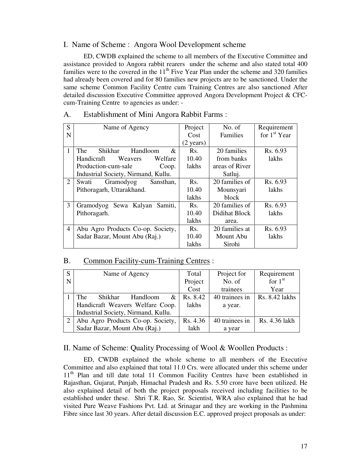#### I. Name of Scheme : Angora Wool Development scheme

 ED, CWDB explained the scheme to all members of the Executive Committee and assistance provided to Angora rabbit rearers under the scheme and also stated total 400 families were to the covered in the  $11<sup>th</sup>$  Five Year Plan under the scheme and 320 families had already been covered and for 80 families new projects are to be sanctioned. Under the same scheme Common Facility Centre cum Training Centres are also sanctioned After detailed discussion Executive Committee approved Angora Development Project & CFCcum-Training Centre to agencies as under: -

| S              | Name of Agency                                | Project             | No. of         | Requirement    |
|----------------|-----------------------------------------------|---------------------|----------------|----------------|
| N              |                                               | Cost                | Families       | for $1st$ Year |
|                |                                               | $(2 \text{ years})$ |                |                |
| 1              | <b>The</b><br><b>Shikhar</b><br>Handloom<br>& | Rs.                 | 20 families    | Rs. 6.93       |
|                | Handicraft<br>Weavers<br>Welfare              | 10.40               | from banks     | lakhs          |
|                | Production-cum-sale<br>Coop.                  | lakhs               | areas of River |                |
|                | Industrial Society, Nirmand, Kullu.           |                     | Satluj.        |                |
| 2              | Swati<br>Gramodyog<br>Sansthan,               | Rs.                 | 20 families of | Rs. 6.93       |
|                | Pithoragarh, Uttarakhand.                     | 10.40               | Mounsyari      | lakhs          |
|                |                                               | lakhs               | block          |                |
| 3              | Gramodyog Sewa Kalyan<br>Samiti.              | Rs.                 | 20 families of | Rs. 6.93       |
|                | Pithoragarh.                                  | 10.40               | Didihat Block  | lakhs          |
|                |                                               | lakhs               | area.          |                |
| $\overline{4}$ | Abu Agro Products Co-op. Society,             | Rs.                 | 20 families at | Rs. 6.93       |
|                | Sadar Bazar, Mount Abu (Raj.)                 | 10.40               | Mount Abu      | lakhs          |
|                |                                               | lakhs               | Sirohi         |                |

#### A. Establishment of Mini Angora Rabbit Farms :

#### B. Common Facility-cum-Training Centres :

| S | Name of Agency                      | Total    | Project for    | Requirement    |
|---|-------------------------------------|----------|----------------|----------------|
| N |                                     | Project  | No. of         | for $1st$      |
|   |                                     | Cost     | trainees       | Year           |
|   | The<br>Shikhar<br>Handloom<br>&     | Rs. 8.42 | 40 trainees in | Rs. 8.42 lakhs |
|   | Handicraft Weavers Welfare Coop.    |          | a year.        |                |
|   | Industrial Society, Nirmand, Kullu. |          |                |                |
|   | Abu Agro Products Co-op. Society,   | Rs. 4.36 | 40 trainees in | Rs. 4.36 lakh  |
|   | Sadar Bazar, Mount Abu (Raj.)       | lakh     | a year         |                |

#### II. Name of Scheme: Quality Processing of Wool & Woollen Products :

 ED, CWDB explained the whole scheme to all members of the Executive Committee and also explained that total 11.0 Crs. were allocated under this scheme under 11<sup>th</sup> Plan and till date total 11 Common Facility Centres have been established in Rajasthan, Gujarat, Punjab, Himachal Pradesh and Rs. 5.50 crore have been utilized. He also explained detail of both the project proposals received including facilities to be established under these. Shri T.R. Rao, Sr. Scientist, WRA also explained that he had visited Pure Weave Fashions Pvt. Ltd. at Srinagar and they are working in the Pashmina Fibre since last 30 years. After detail discussion E.C. approved project proposals as under: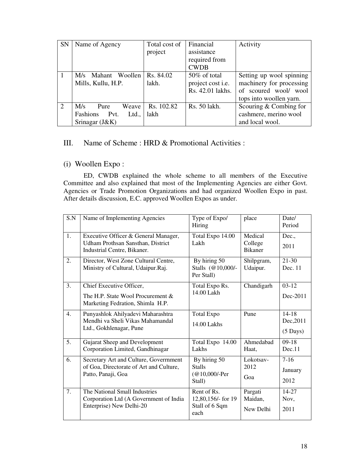| <b>SN</b> | Name of Agency         | Total cost of | Financial         | Activity                 |
|-----------|------------------------|---------------|-------------------|--------------------------|
|           |                        | project       | assistance        |                          |
|           |                        |               | required from     |                          |
|           |                        |               | <b>CWDB</b>       |                          |
|           | Mahant Woollen<br>M/s  | Rs. 84.02     | 50% of total      | Setting up wool spinning |
|           | Mills, Kullu, H.P.     | lakh.         | project cost i.e. | machinery for processing |
|           |                        |               | Rs. 42.01 lakhs.  | of scoured wool/ wool    |
|           |                        |               |                   | tops into woollen yarn.  |
| 2         | Weave<br>M/s<br>Pure   | Rs. 102.82    | Rs. 50 lakh.      | Scouring & Combing for   |
|           | Ltd.,<br>Fashions Pvt. | lakh          |                   | cashmere, merino wool    |
|           | Srinagar $(J&K)$       |               |                   | and local wool.          |

### III. Name of Scheme : HRD & Promotional Activities :

### (i) Woollen Expo :

 ED, CWDB explained the whole scheme to all members of the Executive Committee and also explained that most of the Implementing Agencies are either Govt. Agencies or Trade Promotion Organizations and had organized Woollen Expo in past. After details discussion, E.C. approved Woollen Expos as under.

| S.N              | Name of Implementing Agencies                                                                                   | Type of Expo/<br>Hiring                                     | place                                | Date/<br>Period                              |
|------------------|-----------------------------------------------------------------------------------------------------------------|-------------------------------------------------------------|--------------------------------------|----------------------------------------------|
| 1.               | Executive Officer & General Manager,<br><b>Udham Prothsan Sansthan, District</b><br>Industrial Centre, Bikaner. | Total Expo 14.00<br>Lakh                                    | Medical<br>College<br><b>Bikaner</b> | Dec.,<br>2011                                |
| 2.               | Director, West Zone Cultural Centre,<br>Ministry of Cultural, Udaipur.Raj.                                      | By hiring 50<br>Stalls (@10,000/-<br>Per Stall)             | Shilpgram,<br>Udaipur.               | $21-30$<br>Dec. 11                           |
| 3.               | Chief Executive Officer,<br>The H.P. State Wool Procurement &<br>Marketing Fedration, Shimla H.P.               | Total Expo Rs.<br>14.00 Lakh                                | Chandigarh                           | $03-12$<br>Dec-2011                          |
| $\overline{4}$ . | Punyashlok Ahilyadevi Maharashtra<br>Mendhi va Sheli Vikas Mahamandal<br>Ltd., Gokhlenagar, Pune                | <b>Total Expo</b><br>14.00 Lakhs                            | Pune                                 | $14 - 18$<br>Dec, 2011<br>$(5 \text{ Days})$ |
| 5.               | Gujarat Sheep and Development<br>Corporation Limited, Gandhinagar                                               | Total Expo 14.00<br>Lakhs                                   | Ahmedabad<br>Haat,                   | $09-18$<br>Dec.11                            |
| 6.               | Secretary Art and Culture, Government<br>of Goa, Directorate of Art and Culture,<br>Patto, Panaji, Goa          | By hiring 50<br><b>Stalls</b><br>$@10,000$ /-Per<br>Stall)  | Lokotsav-<br>2012<br>Goa             | $7-16$<br>January<br>2012                    |
| 7.               | The National Small Industries<br>Corporation Ltd (A Government of India<br>Enterprise) New Delhi-20             | Rent of Rs.<br>12,80,156/- for 19<br>Stall of 6 Sqm<br>each | Pargati<br>Maidan,<br>New Delhi      | $14 - 27$<br>Nov,<br>2011                    |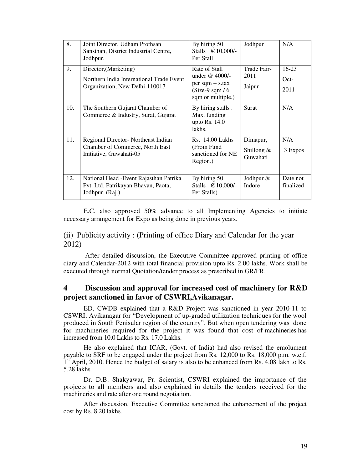| 8.  | Joint Director, Udham Prothsan<br>Sansthan, District Industrial Centre,<br>Jodhpur.                 | By hiring 50<br>Stalls @10,000/-<br>Per Stall                                                           | Jodhpur                              | N/A                       |
|-----|-----------------------------------------------------------------------------------------------------|---------------------------------------------------------------------------------------------------------|--------------------------------------|---------------------------|
| 9.  | Director, (Marketing)<br>Northern India International Trade Event<br>Organization, New Delhi-110017 | Rate of Stall<br>under $@$ 4000/-<br>$per$ sqm + s.tax<br>$(Size-9 \text{ sqm}/6)$<br>sqm or multiple.) | Trade Fair-<br>2011<br>Jaipur        | $16-23$<br>$Oct-$<br>2011 |
| 10. | The Southern Gujarat Chamber of<br>Commerce & Industry, Surat, Gujarat                              | By hiring stalls.<br>Max. funding<br>upto Rs. $14.0$<br>lakhs.                                          | Surat                                | N/A                       |
| 11. | Regional Director-Northeast Indian<br>Chamber of Commerce, North East<br>Initiative, Guwahati-05    | Rs. 14.00 Lakhs<br>(From Fund<br>sanctioned for NE<br>Region.)                                          | Dimapur,<br>Shillong $&$<br>Guwahati | N/A<br>3 Expos            |
| 12. | National Head - Event Rajasthan Patrika<br>Pvt. Ltd, Patrikayan Bhavan, Paota,<br>Jodhpur. (Raj.)   | By hiring 50<br>Stalls @10,000/-<br>Per Stalls)                                                         | Jodhpur &<br>Indore                  | Date not<br>finalized     |

 E.C. also approved 50% advance to all Implementing Agencies to initiate necessary arrangement for Expo as being done in previous years.

#### (ii) Publicity activity : (Printing of office Diary and Calendar for the year 2012)

 After detailed discussion, the Executive Committee approved printing of office diary and Calendar-2012 with total financial provision upto Rs. 2.00 lakhs. Work shall be executed through normal Quotation/tender process as prescribed in GR/FR.

#### **4 Discussion and approval for increased cost of machinery for R&D project sanctioned in favor of CSWRI,Avikanagar.**

 ED, CWDB explained that a R&D Project was sanctioned in year 2010-11 to CSWRI, Avikanagar for "Development of up-graded utilization techniques for the wool produced in South Penisular region of the country". But when open tendering was done for machineries required for the project it was found that cost of machineries has increased from 10.0 Lakhs to Rs. 17.0 Lakhs.

 He also explained that ICAR, (Govt. of India) had also revised the emolument payable to SRF to be engaged under the project from Rs. 12,000 to Rs. 18,000 p.m. w.e.f. 1<sup>st</sup> April, 2010. Hence the budget of salary is also to be enhanced from Rs. 4.08 lakh to Rs. 5.28 lakhs.

 Dr. D.B. Shakyawar, Pr. Scientist, CSWRI explained the importance of the projects to all members and also explained in details the tenders received for the machineries and rate after one round negotiation.

 After discussion, Executive Committee sanctioned the enhancement of the project cost by Rs. 8.20 lakhs.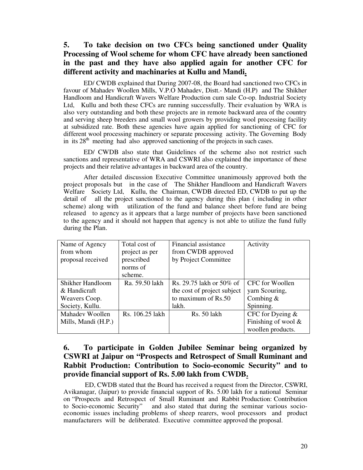### **5. To take decision on two CFCs being sanctioned under Quality Processing of Wool scheme for whom CFC have already been sanctioned in the past and they have also applied again for another CFC for different activity and machinaries at Kullu and Mandi.**

 ED/ CWDB explained that During 2007-08, the Board had sanctioned two CFCs in favour of Mahadev Woollen Mills, V.P.O Mahadev, Distt.- Mandi (H.P) and The Shikher Handloom and Handicraft Wavers Welfare Production cum sale Co-op. Industrial Society Ltd, Kullu and both these CFCs are running successfully. Their evaluation by WRA is also very outstanding and both these projects are in remote backward area of the country and serving sheep breeders and small wool growers by providing wool processing facility at subsidized rate. Both these agencies have again applied for sanctioning of CFC for different wool processing machinery or separate processing activity. The Governing Body in its  $28<sup>th</sup>$  meeting had also approved sanctioning of the projects in such cases.

ED/ CWDB also state that Guidelines of the scheme also not restrict such sanctions and representative of WRA and CSWRI also explained the importance of these projects and their relative advantages in backward area of the country.

After detailed discussion Executive Committee unanimously approved both the project proposals but in the case of The Shikher Handloom and Handicraft Wavers Welfare Society Ltd, Kullu, the Chairman, CWDB directed ED, CWDB to put up the detail of all the project sanctioned to the agency during this plan ( including in other scheme) along with utilization of the fund and balance sheet before fund are being released to agency as it appears that a large number of projects have been sanctioned to the agency and it should not happen that agency is not able to utilize the fund fully during the Plan.

| Name of Agency      | Total cost of   | Financial assistance        | Activity               |
|---------------------|-----------------|-----------------------------|------------------------|
| from whom           | project as per  | from CWDB approved          |                        |
| proposal received   | prescribed      | by Project Committee        |                        |
|                     | norms of        |                             |                        |
|                     | scheme.         |                             |                        |
| Shikher Handloom    | Ra. 59.50 lakh  | Rs. 29.75 lakh or 50% of    | CFC for Woollen        |
| & Handicraft        |                 | the cost of project subject | yarn Scouring,         |
| Weavers Coop.       |                 | to maximum of Rs.50         | Combing $&$            |
| Society, Kullu.     |                 | lakh.                       | Spinning.              |
| Mahadev Woollen     | Rs. 106.25 lakh | Rs. 50 lakh                 | CFC for Dyeing $&$     |
| Mills, Mandi (H.P.) |                 |                             | Finishing of wool $\&$ |
|                     |                 |                             | woollen products.      |

### **6. To participate in Golden Jubilee Seminar being organized by CSWRI at Jaipur on "Prospects and Retrospect of Small Ruminant and Rabbit Production: Contribution to Socio-economic Security" and to provide financial support of Rs. 5.00 lakh from CWDB.**

 ED, CWDB stated that the Board has received a request from the Director, CSWRI, Avikanagar, (Jaipur) to provide financial support of Rs. 5.00 lakh for a national Seminar on "Prospects and Retrospect of Small Ruminant and Rabbit Production: Contribution to Socio-economic Security" and also stated that during the seminar various socioeconomic issues including problems of sheep rearers, wool processors and product manufacturers will be deliberated. Executive committee approved the proposal.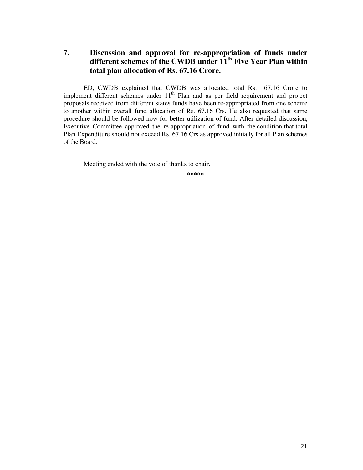**7. Discussion and approval for re-appropriation of funds under different schemes of the CWDB under 11th Five Year Plan within total plan allocation of Rs. 67.16 Crore.** 

ED, CWDB explained that CWDB was allocated total Rs. 67.16 Crore to implement different schemes under 11<sup>th</sup> Plan and as per field requirement and project proposals received from different states funds have been re-appropriated from one scheme to another within overall fund allocation of Rs. 67.16 Crs. He also requested that same procedure should be followed now for better utilization of fund. After detailed discussion, Executive Committee approved the re-appropriation of fund with the condition that total Plan Expenditure should not exceed Rs. 67.16 Crs as approved initially for all Plan schemes of the Board.

Meeting ended with the vote of thanks to chair.

**\*\*\*\*\***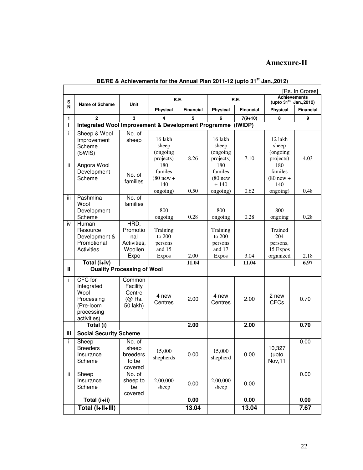### **Annexure-II**

|              | [Rs. In Crores]                                                                       |                                                           |                                                           |                  |                                                           |                  |                                                           |           |
|--------------|---------------------------------------------------------------------------------------|-----------------------------------------------------------|-----------------------------------------------------------|------------------|-----------------------------------------------------------|------------------|-----------------------------------------------------------|-----------|
| s            |                                                                                       |                                                           | B.E.                                                      |                  | <b>R.E.</b>                                               |                  | <b>Achievements</b><br>(upto 31 <sup>st</sup> Jan., 2012) |           |
| N            | <b>Name of Scheme</b>                                                                 | Unit                                                      | <b>Physical</b>                                           | <b>Financial</b> | <b>Physical</b>                                           | <b>Financial</b> | <b>Physical</b>                                           | Financial |
| 1.           | $\mathbf{2}$                                                                          | 3                                                         | 4                                                         | 5                | 6                                                         | $7(9+10)$        | 8                                                         | 9         |
| Т            | Integrated Wool Improvement & Development Programme                                   |                                                           |                                                           |                  |                                                           | (IWIDP)          |                                                           |           |
| i.<br>ii.    | Sheep & Wool<br>Improvement<br>Scheme<br>(SWIS)<br>Angora Wool                        | No. of<br>sheep                                           | 16 lakh<br>sheep<br>(ongoing<br>projects)<br>180          | 8.26             | 16 lakh<br>sheep<br>(ongoing<br>projects)<br>180          | 7.10             | 12 lakh<br>sheep<br>(ongoing<br>projects)<br>180          | 4.03      |
|              | Development<br>Scheme                                                                 | No. of<br>families                                        | familes<br>$(80$ new +<br>140<br>ongoing)                 | 0.50             | familes<br>$(80$ new<br>$+140$<br>ongoing)                | 0.62             | familes<br>$(80$ new +<br>140<br>ongoing)                 | 0.48      |
| iii          | Pashmina<br>Wool<br>Development<br>Scheme                                             | No. of<br>families                                        | 800<br>ongoing                                            | 0.28             | 800<br>ongoing                                            | 0.28             | 800<br>ongoing                                            | 0.28      |
| iv           | Human<br>Resource<br>Development &<br>Promotional<br><b>Activities</b>                | HRD.<br>Promotio<br>nal<br>Activities,<br>Woollen<br>Expo | Training<br>to 200<br>persons<br>and $15$<br><b>Expos</b> | 2.00             | Training<br>to 200<br>persons<br>and $17$<br><b>Expos</b> | 3.04             | Trained<br>204<br>persons,<br>15 Expos<br>organized       | 2.18      |
| $\mathbf{u}$ | Total (i+iv)                                                                          |                                                           |                                                           | 11.04            |                                                           | 11.04            |                                                           | 6.97      |
|              |                                                                                       | <b>Quality Processing of Wool</b>                         |                                                           |                  |                                                           |                  |                                                           |           |
| i.           | CFC for<br>Integrated<br>Wool<br>Processing<br>(Pre-loom<br>processing<br>activities) | Common<br>Facility<br>Centre<br>(@ Rs.<br>50 lakh)        | 4 new<br>Centres                                          | 2.00             | 4 new<br>Centres                                          | 2.00             | 2 new<br><b>CFCs</b>                                      | 0.70      |
|              | Total (i)                                                                             |                                                           |                                                           | 2.00             |                                                           | 2.00             |                                                           | 0.70      |
| Ш            | <b>Social Security Scheme</b>                                                         |                                                           |                                                           |                  |                                                           |                  |                                                           |           |
| i.           | Sheep<br><b>Breeders</b><br>Insurance<br>Scheme                                       | No. of<br>sheep<br>breeders<br>to be<br>covered           | 15,000<br>shepherds                                       | 0.00             | 15,000<br>shepherd                                        | 0.00             | 10,327<br>(upto<br>Nov, 11                                | 0.00      |
| ii.          | Sheep<br>Insurance<br>Scheme                                                          | No. of<br>sheep to<br>be<br>covered                       | 2,00,000<br>sheep                                         | 0.00             | 2,00,000<br>sheep                                         | 0.00             |                                                           | 0.00      |
|              | Total (i+ii)                                                                          |                                                           |                                                           | 0.00             |                                                           | 0.00             |                                                           | 0.00      |
|              | Total (I+II+III)                                                                      |                                                           |                                                           | 13.04            |                                                           | 13.04            |                                                           | 7.67      |

## **BE/RE & Achievements for the Annual Plan 2011-12 (upto 31st Jan.,2012)**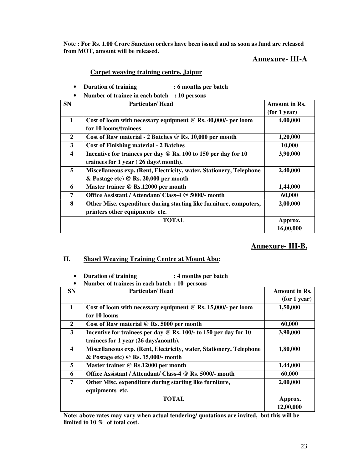**Note : For Rs. 1.00 Crore Sanction orders have been issued and as soon as fund are released from MOT, amount will be released.** 

### **Annexure- III-A**

#### **Carpet weaving training centre, Jaipur**

- **Duration of training : 6 months per batch**
- **Number of trainee in each batch : 10 persons**

| <b>SN</b>               | <b>Particular/Head</b>                                                      | <b>Amount in Rs.</b> |
|-------------------------|-----------------------------------------------------------------------------|----------------------|
|                         |                                                                             | (for 1 year)         |
| 1                       | Cost of loom with necessary equipment $@$ Rs. 40,000/- per loom             | 4,00,000             |
|                         | for 10 looms/trainees                                                       |                      |
| 2                       | Cost of Raw material - 2 Batches @ Rs. 10,000 per month                     | 1,20,000             |
| 3                       | <b>Cost of Finishing material - 2 Batches</b>                               | 10,000               |
| $\overline{\mathbf{4}}$ | Incentive for trainees per day $\circledcirc$ Rs. 100 to 150 per day for 10 | 3,90,000             |
|                         | trainees for 1 year (26 days\ month).                                       |                      |
| 5                       | Miscellaneous exp. (Rent, Electricity, water, Stationery, Telephone         | 2,40,000             |
|                         | $\&$ Postage etc) @ Rs. 20,000 per month                                    |                      |
| 6                       | Master trainer @ Rs.12000 per month                                         | 1,44,000             |
| 7                       | Office Assistant / Attendant/ Class-4 @ 5000/- month                        | 60,000               |
| 8                       | Other Misc. expenditure during starting like furniture, computers,          | 2,00,000             |
|                         | printers other equipments etc.                                              |                      |
|                         | <b>TOTAL</b>                                                                | Approx.              |
|                         |                                                                             | 16,00,000            |

### **Annexure- III-B.**

#### **II. Shawl Weaving Training Centre at Mount Abu:**

| Number of trainees in each batch : 10 persons |                                                                     |               |  |  |
|-----------------------------------------------|---------------------------------------------------------------------|---------------|--|--|
| <b>SN</b>                                     | <b>Particular/Head</b>                                              | Amount in Rs. |  |  |
|                                               |                                                                     | (for 1 year)  |  |  |
| $\mathbf{1}$                                  | Cost of loom with necessary equipment $@$ Rs. 15,000/- per loom     | 1,50,000      |  |  |
|                                               | for 10 looms                                                        |               |  |  |
| 2                                             | Cost of Raw material $\mathcal Q$ Rs. 5000 per month                | 60,000        |  |  |
| 3                                             | Incentive for trainees per day @ Rs. 100/- to 150 per day for 10    | 3,90,000      |  |  |
|                                               | trainees for 1 year (26 days\month).                                |               |  |  |
| $\overline{\mathbf{4}}$                       | Miscellaneous exp. (Rent, Electricity, water, Stationery, Telephone | 1,80,000      |  |  |
|                                               | $& Postage etc) \ @$ Rs. 15,000/- month                             |               |  |  |
| 5                                             | Master trainer @ Rs.12000 per month                                 | 1,44,000      |  |  |
| 6                                             | Office Assistant / Attendant/ Class-4 @ Rs. 5000/- month            | 60,000        |  |  |
| 7                                             | Other Misc. expenditure during starting like furniture,             | 2,00,000      |  |  |
|                                               | equipments etc.                                                     |               |  |  |
|                                               | TOTAL                                                               | Approx.       |  |  |
|                                               |                                                                     | 12,00,000     |  |  |

• **Duration of training : 4 months per batch** 

**Note: above rates may vary when actual tendering/ quotations are invited, but this will be limited to 10 % of total cost.**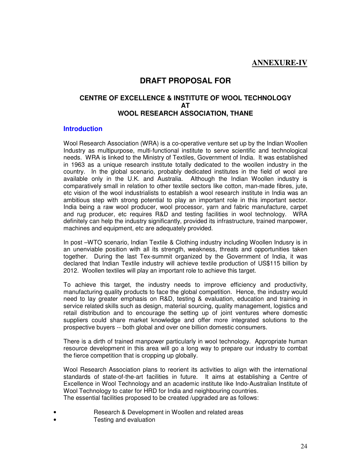### **ANNEXURE-IV**

### **DRAFT PROPOSAL FOR**

#### **CENTRE OF EXCELLENCE & INSTITUTE OF WOOL TECHNOLOGY AT WOOL RESEARCH ASSOCIATION, THANE**

#### **Introduction**

Wool Research Association (WRA) is a co-operative venture set up by the Indian Woollen Industry as multipurpose, multi-functional institute to serve scientific and technological needs. WRA is linked to the Ministry of Textiles, Government of India. It was established in 1963 as a unique research institute totally dedicated to the woollen industry in the country. In the global scenario, probably dedicated institutes in the field of wool are available only in the U.K. and Australia. Although the Indian Woollen industry is comparatively small in relation to other textile sectors like cotton, man-made fibres, jute, etc vision of the wool industrialists to establish a wool research institute in India was an ambitious step with strong potential to play an important role in this important sector. India being a raw wool producer, wool processor, yarn and fabric manufacture, carpet and rug producer, etc requires R&D and testing facilities in wool technology. WRA definitely can help the industry significantly, provided its infrastructure, trained manpower, machines and equipment, etc are adequately provided.

In post –WTO scenario, Indian Textile & Clothing industry including Woollen Indusry is in an unenviable position with all its strength, weakness, threats and opportunities taken together. During the last Tex-summit organized by the Government of India, it was declared that Indian Textile industry will achieve textile production of US\$115 billion by 2012. Woollen textiles will play an important role to achieve this target.

To achieve this target, the industry needs to improve efficiency and productivity, manufacturing quality products to face the global competition. Hence, the industry would need to lay greater emphasis on R&D, testing & evaluation, education and training in service related skills such as design, material sourcing, quality management, logistics and retail distribution and to encourage the setting up of joint ventures where domestic suppliers could share market knowledge and offer more integrated solutions to the prospective buyers -- both global and over one billion domestic consumers.

There is a dirth of trained manpower particularly in wool technology. Appropriate human resource development in this area will go a long way to prepare our industry to combat the fierce competition that is cropping up globally.

Wool Research Association plans to reorient its activities to align with the international standards of state-of-the-art facilities in future. It aims at establishing a Centre of Excellence in Wool Technology and an academic institute like Indo-Australian Institute of Wool Technology to cater for HRD for India and neighbouring countries. The essential facilities proposed to be created /upgraded are as follows:

- Research & Development in Woollen and related areas
- Testing and evaluation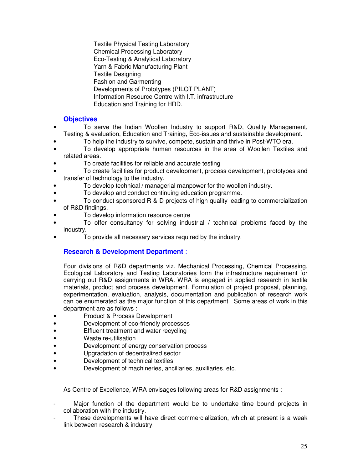Textile Physical Testing Laboratory Chemical Processing Laboratory Eco-Testing & Analytical Laboratory Yarn & Fabric Manufacturing Plant Textile Designing Fashion and Garmenting Developments of Prototypes (PILOT PLANT) Information Resource Centre with I.T. infrastructure Education and Training for HRD.

### **Objectives**

- To serve the Indian Woollen Industry to support R&D, Quality Management, Testing & evaluation, Education and Training, Eco-issues and sustainable development.
- To help the industry to survive, compete, sustain and thrive in Post-WTO era.
- To develop appropriate human resources in the area of Woollen Textiles and related areas.
- To create facilities for reliable and accurate testing
- To create facilities for product development, process development, prototypes and transfer of technology to the industry.
- To develop technical / managerial manpower for the woollen industry.
- To develop and conduct continuing education programme.
- To conduct sponsored R & D projects of high quality leading to commercialization of R&D findings.
- To develop information resource centre
- To offer consultancy for solving industrial / technical problems faced by the industry.
- To provide all necessary services required by the industry.

### **Research & Development Department** :

Four divisions of R&D departments viz. Mechanical Processing, Chemical Processing, Ecological Laboratory and Testing Laboratories form the infrastructure requirement for carrying out R&D assignments in WRA. WRA is engaged in applied research in textile materials, product and process development. Formulation of project proposal, planning, experimentation, evaluation, analysis, documentation and publication of research work can be enumerated as the major function of this department. Some areas of work in this department are as follows :

- Product & Process Development
- Development of eco-friendly processes
- Effluent treatment and water recycling
- Waste re-utilisation
- Development of energy conservation process
- Upgradation of decentralized sector
- Development of technical textiles
- Development of machineries, ancillaries, auxiliaries, etc.

As Centre of Excellence, WRA envisages following areas for R&D assignments :

- Major function of the department would be to undertake time bound projects in collaboration with the industry.
- These developments will have direct commercialization, which at present is a weak link between research & industry.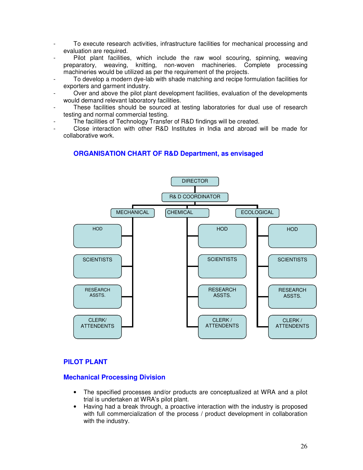- To execute research activities, infrastructure facilities for mechanical processing and evaluation are required.
- Pilot plant facilities, which include the raw wool scouring, spinning, weaving<br>paratory, weaving, knitting, non-woven machineries. Complete processing preparatory, weaving, knitting, non-woven machineries. machineries would be utilized as per the requirement of the projects.
- To develop a modern dye-lab with shade matching and recipe formulation facilities for exporters and garment industry.
- Over and above the pilot plant development facilities, evaluation of the developments would demand relevant laboratory facilities.
- These facilities should be sourced at testing laboratories for dual use of research testing and normal commercial testing.
- The facilities of Technology Transfer of R&D findings will be created.
- Close interaction with other R&D Institutes in India and abroad will be made for collaborative work.

#### **ORGANISATION CHART OF R&D Department, as envisaged**



#### **PILOT PLANT**

#### **Mechanical Processing Division**

- The specified processes and/or products are conceptualized at WRA and a pilot trial is undertaken at WRA's pilot plant.
- Having had a break through, a proactive interaction with the industry is proposed with full commercialization of the process / product development in collaboration with the industry.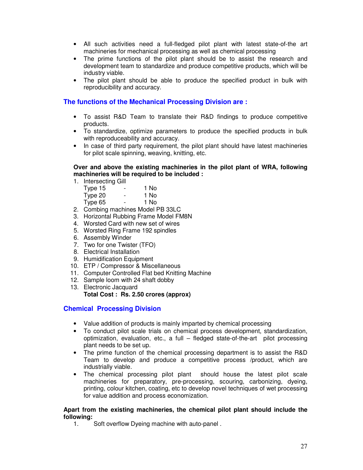- All such activities need a full-fledged pilot plant with latest state-of-the art machineries for mechanical processing as well as chemical processing
- The prime functions of the pilot plant should be to assist the research and development team to standardize and produce competitive products, which will be industry viable.
- The pilot plant should be able to produce the specified product in bulk with reproducibility and accuracy.

#### **The functions of the Mechanical Processing Division are :**

- To assist R&D Team to translate their R&D findings to produce competitive products.
- To standardize, optimize parameters to produce the specified products in bulk with reproduceability and accuracy.
- In case of third party requirement, the pilot plant should have latest machineries for pilot scale spinning, weaving, knitting, etc.

#### **Over and above the existing machineries in the pilot plant of WRA, following machineries will be required to be included :**

1. Intersecting Gill

| Type 15 | - | 1 No |
|---------|---|------|
| Type 20 | - | 1 No |
| Type 65 | - | 1 No |
|         |   |      |

- 2. Combing machines Model PB 33LC
- 3. Horizontal Rubbing Frame Model FM8N
- 4. Worsted Card with new set of wires
- 5. Worsted Ring Frame 192 spindles
- 6. Assembly Winder
- 7. Two for one Twister (TFO)
- 8. Electrical Installation
- 9. Humidification Equipment
- 10. ETP / Compressor & Miscellaneous
- 11. Computer Controlled Flat bed Knitting Machine
- 12. Sample loom with 24 shaft dobby
- 13. Electronic Jacquard **Total Cost : Rs. 2.50 crores (approx)**

#### **Chemical Processing Division**

- Value addition of products is mainly imparted by chemical processing
- To conduct pilot scale trials on chemical process development, standardization, optimization, evaluation, etc., a full – fledged state-of-the-art pilot processing plant needs to be set up.
- The prime function of the chemical processing department is to assist the R&D Team to develop and produce a competitive process /product, which are industrially viable.
- The chemical processing pilot plant should house the latest pilot scale machineries for preparatory, pre-processing, scouring, carbonizing, dyeing, printing, colour kitchen, coating, etc to develop novel techniques of wet processing for value addition and process economization.

#### **Apart from the existing machineries, the chemical pilot plant should include the following:**

1. Soft overflow Dyeing machine with auto-panel .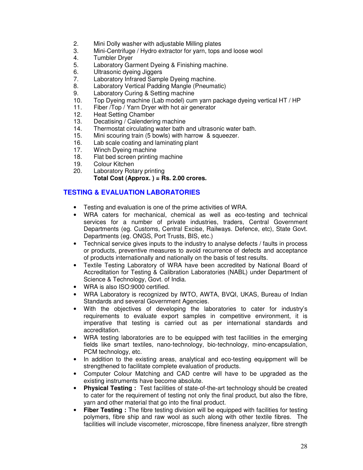- 2. Mini Dolly washer with adjustable Milling plates
- 3. Mini-Centrifuge / Hydro extractor for yarn, tops and loose wool
- 4. Tumbler Dryer<br>5. Laboratory Gar
- Laboratory Garment Dyeing & Finishing machine.
- 6. Ultrasonic dyeing Jiggers
- 7. Laboratory Infrared Sample Dyeing machine.
- 8. Laboratory Vertical Padding Mangle (Pneumatic)
- 9. Laboratory Curing & Setting machine
- 10. Top Dyeing machine (Lab model) cum yarn package dyeing vertical HT / HP<br>11. Fiber / Top / Yarn Drver with hot air generator
- 11. Fiber /Top / Yarn Dryer with hot air generator<br>12. Heat Setting Chamber
- 12. Heat Setting Chamber<br>13. Decatising / Calenderin
- Decatising / Calendering machine
- 14. Thermostat circulating water bath and ultrasonic water bath.
- 15. Mini scouring train (5 bowls) with harrow & squeezer.
- 16. Lab scale coating and laminating plant
- 17. Winch Dyeing machine
- 18. Flat bed screen printing machine<br>19. Colour Kitchen
- Colour Kitchen
- 20. Laboratory Rotary printing **Total Cost (Approx. ) = Rs. 2.00 crores.**

### **TESTING & EVALUATION LABORATORIES**

- Testing and evaluation is one of the prime activities of WRA.
- WRA caters for mechanical, chemical as well as eco-testing and technical services for a number of private industries, traders, Central Government Departments (eg. Customs, Central Excise, Railways. Defence, etc), State Govt. Departments (eg. ONGS, Port Trusts, BIS, etc.)
- Technical service gives inputs to the industry to analyse defects / faults in process or products, preventive measures to avoid recurrence of defects and acceptance of products internationally and nationally on the basis of test results.
- Textile Testing Laboratory of WRA have been accredited by National Board of Accreditation for Testing & Calibration Laboratories (NABL) under Department of Science & Technology, Govt. of India.
- WRA is also ISO:9000 certified.
- WRA Laboratory is recognized by IWTO, AWTA, BVQI, UKAS, Bureau of Indian Standards and several Government Agencies.
- With the objectives of developing the laboratories to cater for industry's requirements to evaluate export samples in competitive environment, it is imperative that testing is carried out as per international standards and accreditation.
- WRA testing laboratories are to be equipped with test facilities in the emerging fields like smart textiles, nano-technology, bio-technology, mino-encapsulation, PCM technology, etc.
- In addition to the existing areas, analytical and eco-testing equippment will be strengthened to facilitate complete evaluation of products.
- Computer Colour Matching and CAD centre will have to be upgraded as the existing instruments have become absolute.
- **Physical Testing :** Test facilities of state-of-the-art technology should be created to cater for the requirement of testing not only the final product, but also the fibre, yarn and other material that go into the final product.
- **Fiber Testing :** The fibre testing division will be equipped with facilities for testing polymers, fibre ship and raw wool as such along with other textile fibres. The facilities will include viscometer, microscope, fibre fineness analyzer, fibre strength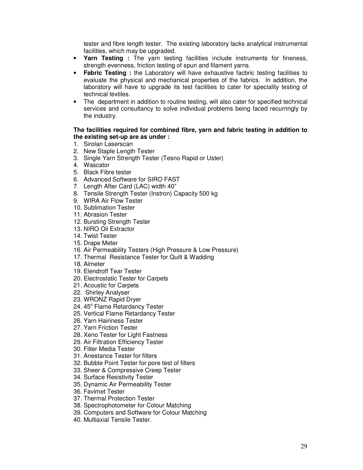tester and fibre length tester. The existing laboratory lacks analytical instrumental facilities, which may be upgraded.

- **Yarn Testing :** The yarn testing facilities include instruments for fineness, strength evenness, friction testing of spun and filament yarns.
- **Fabric Testing :** the Laboratory will have exhaustive facbric testing facilities to evaluate the physical and mechanical properties of the fabrics. In addition, the laboratory will have to upgrade its test facilities to cater for speciality testing of technical textiles.
- The department in addition to routine testing, will also cater for specified technical services and consultancy to solve individual problems being faced recurringly by the industry.

#### **The facilities required for combined fibre, yarn and fabric testing in addition to the existing set-up are as under :**

- 1. Sirolan Laserscan
- 2. New Staple Length Tester
- 3. Single Yarn Strength Tester (Tesno Rapid or Uster)
- 4. Wascator
- 5. Black Fibre tester
- 6. Advanced Software for SIRO FAST
- 7. Length After Card (LAC) width 40"
- 8. Tensile Strength Tester (Instron) Capacity 500 kg
- 9. WIRA Air Flow Tester
- 10. Sublimation Tester
- 11. Abrasion Tester
- 12. Bursting Strength Tester
- 13. NIRO Oil Extractor
- 14. Twist Tester
- 15. Drape Meter
- 16. Air Permeability Testers (High Pressure & Low Pressure)
- 17. Thermal Resistance Tester for Quilt & Wadding
- 18. Almeter
- 19. Elendroff Tear Tester
- 20. Electrostatic Tester for Carpets
- 21. Acoustic for Carpets
- 22. Shirley Analyser
- 23. WRONZ Rapid Dryer
- 24. 45° Flame Retardancy Tester
- 25. Vertical Flame Retardancy Tester
- 26. Yarn Hairiness Tester
- 27. Yarn Friction Tester
- 28. Xeno Tester for Light Fastness
- 29. Air Filtration Efficiency Tester
- 30. Filter Media Tester
- 31. Anestance Tester for filters
- 32. Bubble Point Tester for pore test of filters
- 33. Sheer & Compressive Creep Tester
- 34. Surface Resistivity Tester
- 35. Dynamic Air Permeability Tester
- 36. Favimet Tester
- 37. Thermal Protection Tester
- 38. Spectrophotometer for Colour Matching
- 39. Computers and Software for Colour Matching
- 40. Multiaxial Tensile Tester.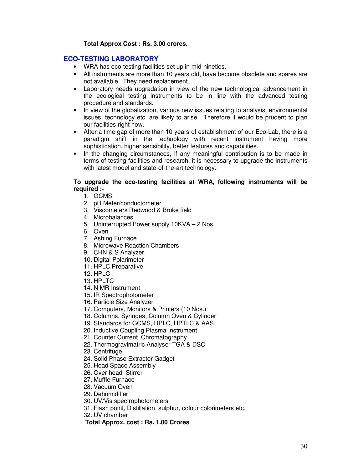#### **Total Approx Cost : Rs. 3.00 crores.**

#### **ECO-TESTING LABORATORY**

- WRA has eco-testing facilities set up in mid-nineties.
- All instruments are more than 10 years old, have become obsolete and spares are not available. They need replacement.
- Laboratory needs upgradation in view of the new technological advancement in the ecological testing instruments to be in line with the advanced testing procedure and standards.
- In view of the globalization, various new issues relating to analysis, environmental issues, technology etc. are likely to arise. Therefore it would be prudent to plan our facilities right now.
- After a time gap of more than 10 years of establishment of our Eco-Lab, there is a paradigm shift in the technology with recent instrument having more sophistication, higher sensibility, better features and capabilities.
- In the changing circumstances, if any meaningful contribution is to be made in terms of testing facilities and research, it is necessary to upgrade the instruments with latest model and state-of-the-art technology.

#### **To upgrade the eco-testing facilities at WRA, following instruments will be required :-**

- 1. GCMS
- 2. pH Meter/conductometer
- 3. Viscometers Redwood & Broke field
- 4. Microbalances
- 5. Uninterrupted Power supply 10KVA 2 Nos.
- 6. Oven
- 7. Ashing Furnace
- 8. Microwave Reaction Chambers
- 9. CHN & S Analyzer
- 10. Digital Polarimeter
- 11. HPLC Preparative
- 12. HPLC
- 13. HPLTC
- 14. N MR Instrument
- 15. IR Spectrophotometer
- 16. Particle Size Analyzer
- 17. Computers, Monitors & Printers (10 Nos.)
- 18. Columns, Syringes, Column Oven & Cylinder
- 19. Standards for GCMS, HPLC, HPTLC & AAS
- 20. Inductive Coupling Plasma Instrument
- 21. Counter Current Chromatography
- 22. Thermogravimatric Analyser TGA & DSC
- 23. Centrifuge
- 24. Solid Phase Extractor Gadget
- 25. Head Space Assembly
- 26. Over head Stirrer
- 27. Muffle Furnace
- 28. Vacuum Oven
- 29. Dehumidifier
- 30. UV/Vis spectrophotometers
- 31. Flash point, Distillation, sulphur, colour colorimeters etc.
- 32. UV chamber

#### **Total Approx. cost : Rs. 1.00 Crores**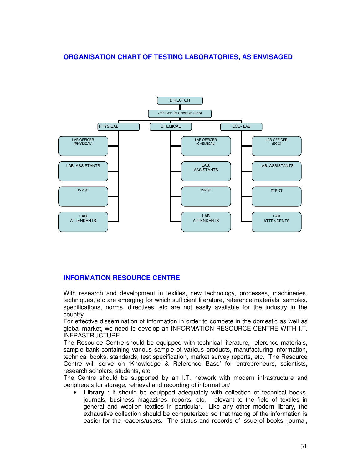### **ORGANISATION CHART OF TESTING LABORATORIES, AS ENVISAGED**



#### **INFORMATION RESOURCE CENTRE**

With research and development in textiles, new technology, processes, machineries, techniques, etc are emerging for which sufficient literature, reference materials, samples, specifications, norms, directives, etc are not easily available for the industry in the country.

For effective dissemination of information in order to compete in the domestic as well as global market, we need to develop an INFORMATION RESOURCE CENTRE WITH I.T. INFRASTRUCTURE.

The Resource Centre should be equipped with technical literature, reference materials, sample bank containing various sample of various products, manufacturing information, technical books, standards, test specification, market survey reports, etc. The Resource Centre will serve on 'Knowledge & Reference Base' for entrepreneurs, scientists, research scholars, students, etc.

The Centre should be supported by an I.T. network with modern infrastructure and peripherals for storage, retrieval and recording of information/

• **Library** : It should be equipped adequately with collection of technical books, journals, business magazines, reports, etc. relevant to the field of textiles in general and woollen textiles in particular. Like any other modern library, the exhaustive collection should be computerized so that tracing of the information is easier for the readers/users. The status and records of issue of books, journal,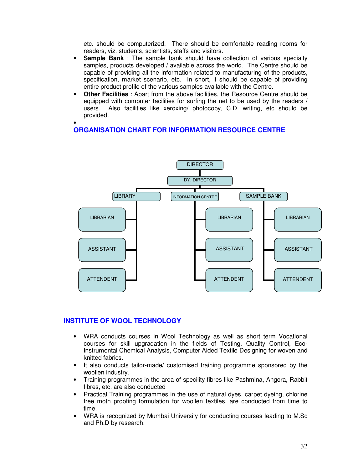etc. should be computerized. There should be comfortable reading rooms for readers, viz. students, scientists, staffs and visitors.

- **Sample Bank** : The sample bank should have collection of various specialty samples, products developed / available across the world. The Centre should be capable of providing all the information related to manufacturing of the products, specification, market scenario, etc. In short, it should be capable of providing entire product profile of the various samples available with the Centre.
- **Other Facilities** : Apart from the above facilities, the Resource Centre should be equipped with computer facilities for surfing the net to be used by the readers / users. Also facilities like xeroxing/ photocopy, C.D. writing, etc should be provided.

#### • **ORGANISATION CHART FOR INFORMATION RESOURCE CENTRE**



#### **INSTITUTE OF WOOL TECHNOLOGY**

- WRA conducts courses in Wool Technology as well as short term Vocational courses for skill upgradation in the fields of Testing, Quality Control, Eco-Instrumental Chemical Analysis, Computer Aided Textile Designing for woven and knitted fabrics.
- It also conducts tailor-made/ customised training programme sponsored by the woollen industry.
- Training programmes in the area of specility fibres like Pashmina, Angora, Rabbit fibres, etc. are also conducted
- Practical Training programmes in the use of natural dyes, carpet dyeing, chlorine free moth proofing formulation for woollen textiles, are conducted from time to time.
- WRA is recognized by Mumbai University for conducting courses leading to M.Sc and Ph.D by research.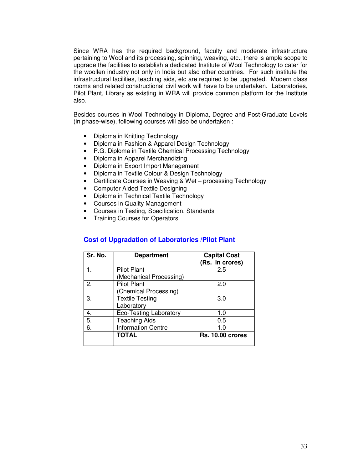Since WRA has the required background, faculty and moderate infrastructure pertaining to Wool and its processing, spinning, weaving, etc., there is ample scope to upgrade the facilities to establish a dedicated Institute of Wool Technology to cater for the woollen industry not only in India but also other countries. For such institute the infrastructural facilities, teaching aids, etc are required to be upgraded. Modern class rooms and related constructional civil work will have to be undertaken. Laboratories, Pilot Plant, Library as existing in WRA will provide common platform for the Institute also.

Besides courses in Wool Technology in Diploma, Degree and Post-Graduate Levels (in phase-wise), following courses will also be undertaken :

- Diploma in Knitting Technology
- Diploma in Fashion & Apparel Design Technology
- P.G. Diploma in Textile Chemical Processing Technology
- Diploma in Apparel Merchandizing
- Diploma in Export Import Management
- Diploma in Textile Colour & Design Technology
- Certificate Courses in Weaving & Wet processing Technology
- Computer Aided Textile Designing
- Diploma in Technical Textile Technology
- Courses in Quality Management
- Courses in Testing, Specification, Standards
- Training Courses for Operators

#### **Cost of Upgradation of Laboratories /Pilot Plant**

| Sr. No. | <b>Department</b>                             | <b>Capital Cost</b><br>(Rs. in crores) |
|---------|-----------------------------------------------|----------------------------------------|
| 1.      | <b>Pilot Plant</b><br>(Mechanical Processing) | 2.5                                    |
| 2.      | <b>Pilot Plant</b><br>(Chemical Processing)   | 2.0                                    |
| 3.      | <b>Textile Testing</b><br>Laboratory          | 3.0                                    |
| 4.      | <b>Eco-Testing Laboratory</b>                 | 1.0                                    |
| 5.      | <b>Teaching Aids</b>                          | 0.5                                    |
| 6.      | <b>Information Centre</b>                     | 1.0                                    |
|         | <b>TOTAL</b>                                  | <b>Rs. 10.00 crores</b>                |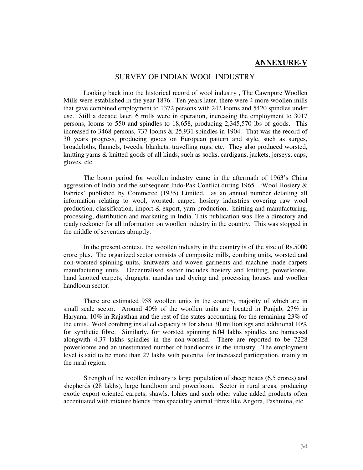#### **ANNEXURE-V**

#### SURVEY OF INDIAN WOOL INDUSTRY

 Looking back into the historical record of wool industry , The Cawnpore Woollen Mills were established in the year 1876. Ten years later, there were 4 more woollen mills that gave combined employment to 1372 persons with 242 looms and 5420 spindles under use. Still a decade later, 6 mills were in operation, increasing the employment to 3017 persons, looms to 550 and spindles to 18,658, producing 2,345,570 lbs of goods. This increased to 3468 persons, 737 looms & 25,931 spindles in 1904. That was the record of 30 years progress, producing goods on European pattern and style, such as surges, broadcloths, flannels, tweeds, blankets, travelling rugs, etc. They also produced worsted, knitting yarns & knitted goods of all kinds, such as socks, cardigans, jackets, jerseys, caps, gloves, etc.

 The boom period for woollen industry came in the aftermath of 1963's China aggression of India and the subsequent Indo-Pak Conflict during 1965. 'Wool Hosiery & Fabrics' published by Commerce (1935) Limited, as an annual number detailing all information relating to wool, worsted, carpet, hosiery industries covering raw wool production, classification, import & export, yarn production, knitting and manufacturing, processing, distribution and marketing in India. This publication was like a directory and ready reckoner for all information on woollen industry in the country. This was stopped in the middle of seventies abruptly.

 In the present context, the woollen industry in the country is of the size of Rs.5000 crore plus. The organized sector consists of composite mills, combing units, worsted and non-worsted spinning units, knitwears and woven garments and machine made carpets manufacturing units. Decentralised sector includes hosiery and knitting, powerlooms, hand knotted carpets, druggets, namdas and dyeing and processing houses and woollen handloom sector.

 There are estimated 958 woollen units in the country, majority of which are in small scale sector. Around 40% of the woollen units are located in Punjab, 27% in Haryana, 10% in Rajasthan and the rest of the states accounting for the remaining 23% of the units. Wool combing installed capacity is for about 30 million kgs and additional 10% for synthetic fibre. Similarly, for worsted spinning 6.04 lakhs spindles are harnessed alongwith 4.37 lakhs spindles in the non-worsted. There are reported to be 7228 powerlooms and an unestimated number of handlooms in the industry. The employment level is said to be more than 27 lakhs with potential for increased participation, mainly in the rural region.

 Strength of the woollen industry is large population of sheep heads (6.5 crores) and shepherds (28 lakhs), large handloom and powerloom. Sector in rural areas, producing exotic export oriented carpets, shawls, lohies and such other value added products often accentuated with mixture blends from speciality animal fibres like Angora, Pashmina, etc.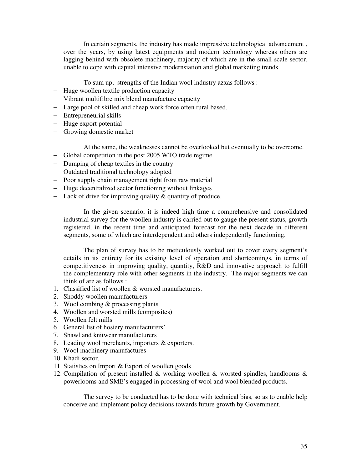In certain segments, the industry has made impressive technological advancement , over the years, by using latest equipments and modern technology whereas others are lagging behind with obsolete machinery, majority of which are in the small scale sector, unable to cope with capital intensive modernsiation and global marketing trends.

To sum up, strengths of the Indian wool industry azxas follows :

- − Huge woollen textile production capacity
- − Vibrant multifibre mix blend manufacture capacity
- − Large pool of skilled and cheap work force often rural based.
- − Entrepreneurial skills
- − Huge export potential
- − Growing domestic market

At the same, the weaknesses cannot be overlooked but eventually to be overcome.

- − Global competition in the post 2005 WTO trade regime
- − Dumping of cheap textiles in the country
- − Outdated traditional technology adopted
- − Poor supply chain management right from raw material
- − Huge decentralized sector functioning without linkages
- − Lack of drive for improving quality & quantity of produce.

 In the given scenario, it is indeed high time a comprehensive and consolidated industrial survey for the woollen industry is carried out to gauge the present status, growth registered, in the recent time and anticipated forecast for the next decade in different segments, some of which are interdependent and others independently functioning.

 The plan of survey has to be meticulously worked out to cover every segment's details in its entirety for its existing level of operation and shortcomings, in terms of competitiveness in improving quality, quantity, R&D and innovative approach to fulfill the complementary role with other segments in the industry. The major segments we can think of are as follows :

- 1. Classified list of woollen & worsted manufacturers.
- 2. Shoddy woollen manufacturers
- 3. Wool combing & processing plants
- 4. Woollen and worsted mills (composites)
- 5. Woollen felt mills
- 6. General list of hosiery manufacturers'
- 7. Shawl and knitwear manufacturers
- 8. Leading wool merchants, importers & exporters.
- 9. Wool machinery manufactures
- 10. Khadi sector.
- 11. Statistics on Import & Export of woollen goods
- 12. Compilation of present installed & working woollen & worsted spindles, handlooms & powerlooms and SME's engaged in processing of wool and wool blended products.

The survey to be conducted has to be done with technical bias, so as to enable help conceive and implement policy decisions towards future growth by Government.